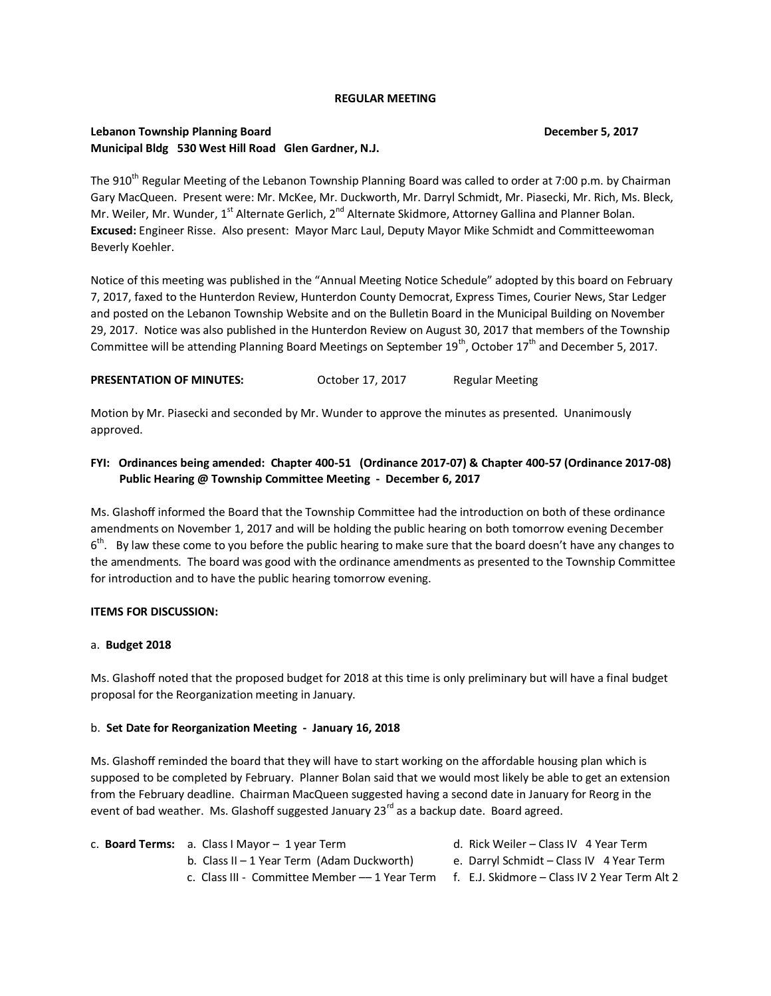### **REGULAR MEETING**

## **Lebanon Township Planning Board December 5, 2017 Municipal Bldg 530 West Hill Road Glen Gardner, N.J.**

# The 910<sup>th</sup> Regular Meeting of the Lebanon Township Planning Board was called to order at 7:00 p.m. by Chairman Gary MacQueen. Present were: Mr. McKee, Mr. Duckworth, Mr. Darryl Schmidt, Mr. Piasecki, Mr. Rich, Ms. Bleck, Mr. Weiler, Mr. Wunder, 1<sup>st</sup> Alternate Gerlich, 2<sup>nd</sup> Alternate Skidmore, Attorney Gallina and Planner Bolan. **Excused:** Engineer Risse. Also present: Mayor Marc Laul, Deputy Mayor Mike Schmidt and Committeewoman Beverly Koehler.

Notice of this meeting was published in the "Annual Meeting Notice Schedule" adopted by this board on February 7, 2017, faxed to the Hunterdon Review, Hunterdon County Democrat, Express Times, Courier News, Star Ledger and posted on the Lebanon Township Website and on the Bulletin Board in the Municipal Building on November 29, 2017. Notice was also published in the Hunterdon Review on August 30, 2017 that members of the Township Committee will be attending Planning Board Meetings on September  $19^{th}$ , October  $17^{th}$  and December 5, 2017.

**PRESENTATION OF MINUTES:** October 17, 2017 Regular Meeting

Motion by Mr. Piasecki and seconded by Mr. Wunder to approve the minutes as presented. Unanimously approved.

### **FYI: Ordinances being amended: Chapter 400-51 (Ordinance 2017-07) & Chapter 400-57 (Ordinance 2017-08) Public Hearing @ Township Committee Meeting - December 6, 2017**

Ms. Glashoff informed the Board that the Township Committee had the introduction on both of these ordinance amendments on November 1, 2017 and will be holding the public hearing on both tomorrow evening December 6<sup>th</sup>. By law these come to you before the public hearing to make sure that the board doesn't have any changes to the amendments. The board was good with the ordinance amendments as presented to the Township Committee for introduction and to have the public hearing tomorrow evening.

#### **ITEMS FOR DISCUSSION:**

#### a. **Budget 2018**

Ms. Glashoff noted that the proposed budget for 2018 at this time is only preliminary but will have a final budget proposal for the Reorganization meeting in January.

#### b. **Set Date for Reorganization Meeting - January 16, 2018**

Ms. Glashoff reminded the board that they will have to start working on the affordable housing plan which is supposed to be completed by February. Planner Bolan said that we would most likely be able to get an extension from the February deadline. Chairman MacQueen suggested having a second date in January for Reorg in the event of bad weather. Ms. Glashoff suggested January 23<sup>rd</sup> as a backup date. Board agreed.

| c. <b>Board Terms:</b> a. Class I Mayor $-1$ year Term                                       | d. Rick Weiler – Class IV 4 Year Term    |
|----------------------------------------------------------------------------------------------|------------------------------------------|
| b. Class II – 1 Year Term (Adam Duckworth)                                                   | e. Darryl Schmidt – Class IV 4 Year Term |
| c. Class III - Committee Member -- 1 Year Term f. E.J. Skidmore - Class IV 2 Year Term Alt 2 |                                          |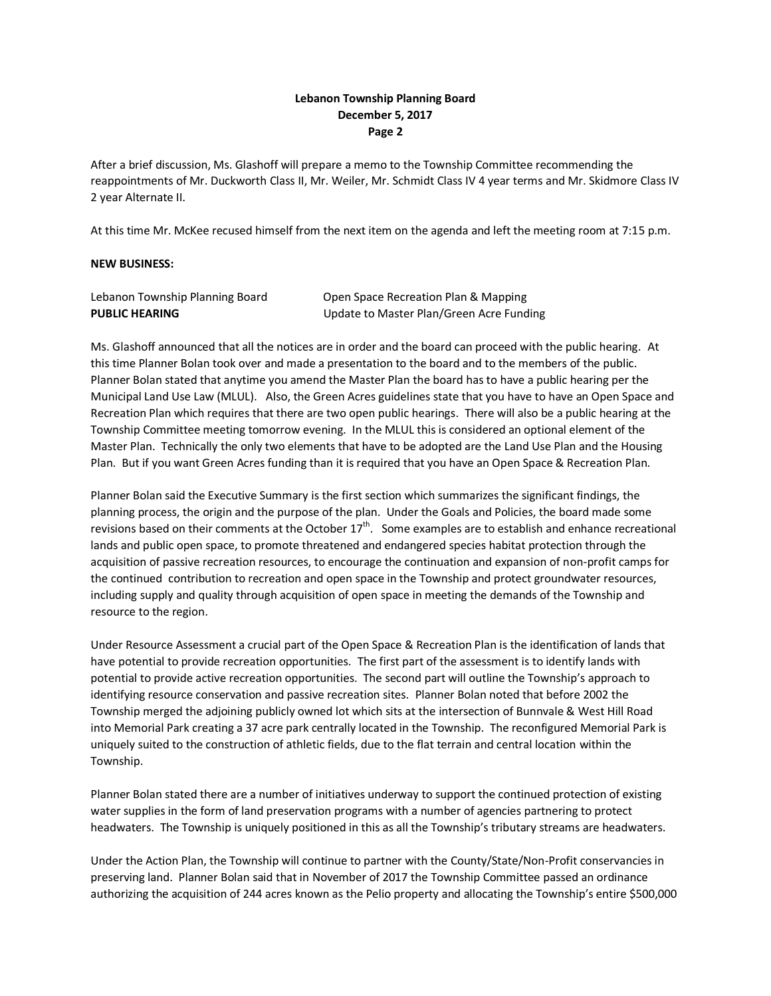## **Lebanon Township Planning Board December 5, 2017 Page 2**

After a brief discussion, Ms. Glashoff will prepare a memo to the Township Committee recommending the reappointments of Mr. Duckworth Class II, Mr. Weiler, Mr. Schmidt Class IV 4 year terms and Mr. Skidmore Class IV 2 year Alternate II.

At this time Mr. McKee recused himself from the next item on the agenda and left the meeting room at 7:15 p.m.

### **NEW BUSINESS:**

| Lebanon Township Planning Board | Open Space Recreation Plan & Mapping     |
|---------------------------------|------------------------------------------|
| <b>PUBLIC HEARING</b>           | Update to Master Plan/Green Acre Funding |

Ms. Glashoff announced that all the notices are in order and the board can proceed with the public hearing. At this time Planner Bolan took over and made a presentation to the board and to the members of the public. Planner Bolan stated that anytime you amend the Master Plan the board has to have a public hearing per the Municipal Land Use Law (MLUL). Also, the Green Acres guidelines state that you have to have an Open Space and Recreation Plan which requires that there are two open public hearings. There will also be a public hearing at the Township Committee meeting tomorrow evening. In the MLUL this is considered an optional element of the Master Plan. Technically the only two elements that have to be adopted are the Land Use Plan and the Housing Plan. But if you want Green Acres funding than it is required that you have an Open Space & Recreation Plan.

Planner Bolan said the Executive Summary is the first section which summarizes the significant findings, the planning process, the origin and the purpose of the plan. Under the Goals and Policies, the board made some revisions based on their comments at the October  $17^{th}$ . Some examples are to establish and enhance recreational lands and public open space, to promote threatened and endangered species habitat protection through the acquisition of passive recreation resources, to encourage the continuation and expansion of non-profit camps for the continued contribution to recreation and open space in the Township and protect groundwater resources, including supply and quality through acquisition of open space in meeting the demands of the Township and resource to the region.

Under Resource Assessment a crucial part of the Open Space & Recreation Plan is the identification of lands that have potential to provide recreation opportunities. The first part of the assessment is to identify lands with potential to provide active recreation opportunities. The second part will outline the Township's approach to identifying resource conservation and passive recreation sites. Planner Bolan noted that before 2002 the Township merged the adjoining publicly owned lot which sits at the intersection of Bunnvale & West Hill Road into Memorial Park creating a 37 acre park centrally located in the Township. The reconfigured Memorial Park is uniquely suited to the construction of athletic fields, due to the flat terrain and central location within the Township.

Planner Bolan stated there are a number of initiatives underway to support the continued protection of existing water supplies in the form of land preservation programs with a number of agencies partnering to protect headwaters. The Township is uniquely positioned in this as all the Township's tributary streams are headwaters.

Under the Action Plan, the Township will continue to partner with the County/State/Non-Profit conservancies in preserving land. Planner Bolan said that in November of 2017 the Township Committee passed an ordinance authorizing the acquisition of 244 acres known as the Pelio property and allocating the Township's entire \$500,000